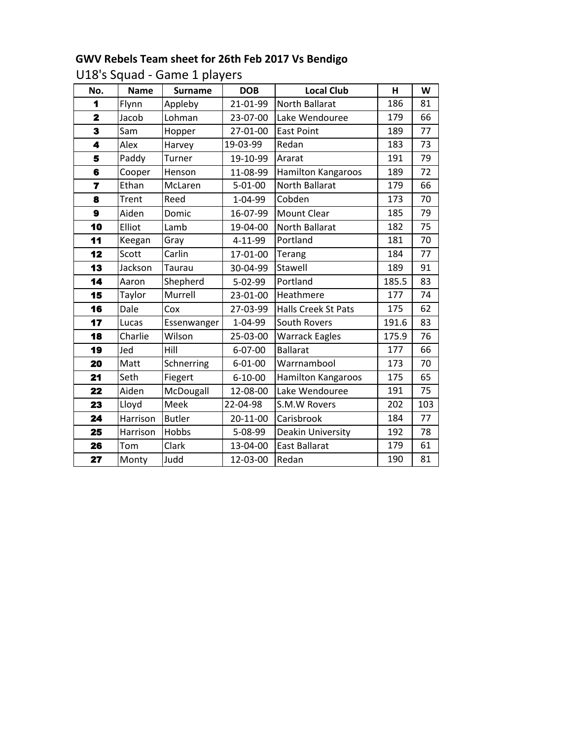## **GWV Rebels Team sheet for 26th Feb 2017 Vs Bendigo**

U18's Squad - Game 1 players

| No.                     | <b>Name</b> | <b>Surname</b> | <b>DOB</b>    | <b>Local Club</b>          | H     | W   |
|-------------------------|-------------|----------------|---------------|----------------------------|-------|-----|
| 1                       | Flynn       | Appleby        | 21-01-99      | North Ballarat             | 186   | 81  |
| $\overline{\mathbf{2}}$ | Jacob       | Lohman         | 23-07-00      | Lake Wendouree             | 179   | 66  |
| 3                       | Sam         | Hopper         | 27-01-00      | <b>East Point</b>          | 189   | 77  |
| 4                       | Alex        | Harvey         | 19-03-99      | Redan                      | 183   | 73  |
| 5                       | Paddy       | Turner         | 19-10-99      | Ararat                     | 191   | 79  |
| 6                       | Cooper      | Henson         | 11-08-99      | Hamilton Kangaroos         | 189   | 72  |
| $\overline{7}$          | Ethan       | McLaren        | $5 - 01 - 00$ | <b>North Ballarat</b>      | 179   | 66  |
| 8                       | Trent       | Reed           | 1-04-99       | Cobden                     | 173   | 70  |
| $\boldsymbol{9}$        | Aiden       | Domic          | 16-07-99      | Mount Clear                | 185   | 79  |
| 10                      | Elliot      | Lamb           | 19-04-00      | North Ballarat             | 182   | 75  |
| 11                      | Keegan      | Gray           | 4-11-99       | Portland                   | 181   | 70  |
| 12                      | Scott       | Carlin         | 17-01-00      | Terang                     | 184   | 77  |
| 13                      | Jackson     | Taurau         | 30-04-99      | Stawell                    | 189   | 91  |
| 14                      | Aaron       | Shepherd       | $5 - 02 - 99$ | Portland                   | 185.5 | 83  |
| 15                      | Taylor      | Murrell        | 23-01-00      | Heathmere                  | 177   | 74  |
| 16                      | Dale        | Cox            | 27-03-99      | <b>Halls Creek St Pats</b> | 175   | 62  |
| 17                      | Lucas       | Essenwanger    | 1-04-99       | South Rovers               | 191.6 | 83  |
| 18                      | Charlie     | Wilson         | 25-03-00      | <b>Warrack Eagles</b>      | 175.9 | 76  |
| 19                      | Jed         | Hill           | 6-07-00       | <b>Ballarat</b>            | 177   | 66  |
| 20                      | Matt        | Schnerring     | $6 - 01 - 00$ | Warrnambool                | 173   | 70  |
| 21                      | Seth        | Fiegert        | $6 - 10 - 00$ | Hamilton Kangaroos         | 175   | 65  |
| 22                      | Aiden       | McDougall      | 12-08-00      | Lake Wendouree             | 191   | 75  |
| 23                      | Lloyd       | Meek           | 22-04-98      | S.M.W Rovers               | 202   | 103 |
| 24                      | Harrison    | <b>Butler</b>  | 20-11-00      | Carisbrook                 | 184   | 77  |
| 25                      | Harrison    | Hobbs          | 5-08-99       | Deakin University          | 192   | 78  |
| 26                      | Tom         | Clark          | 13-04-00      | <b>East Ballarat</b>       | 179   | 61  |
| 27                      | Monty       | Judd           | 12-03-00      | Redan                      | 190   | 81  |